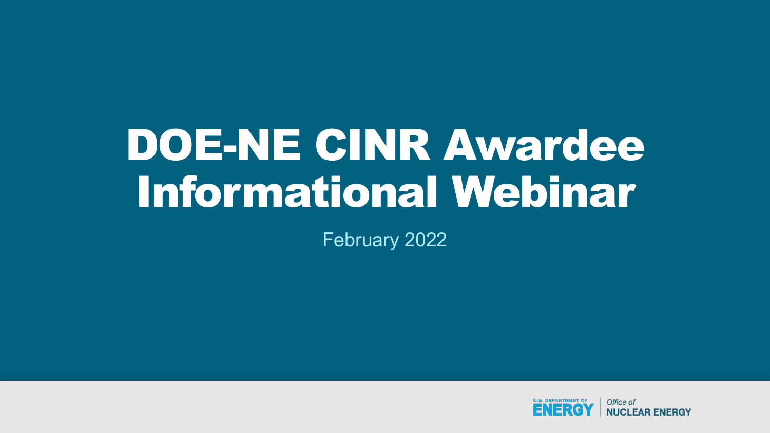# DOE-NE CINR Awardee Informational Webinar

February 2022

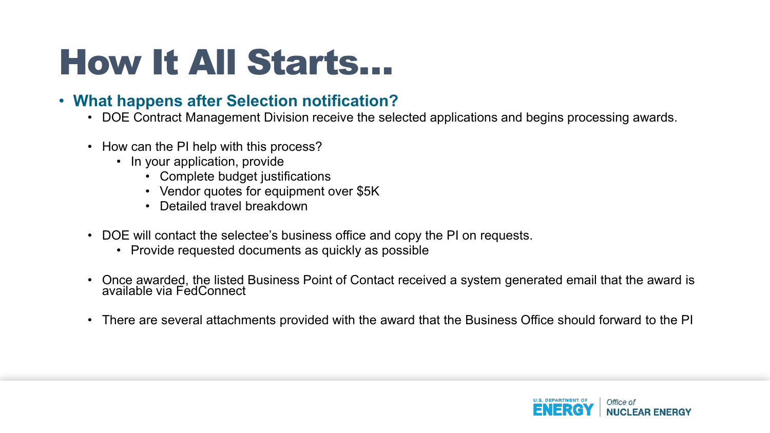### How It All Starts…

#### • **What happens after Selection notification?**

- DOE Contract Management Division receive the selected applications and begins processing awards.
- How can the PI help with this process?
	- In your application, provide
		- Complete budget justifications
		- Vendor quotes for equipment over \$5K
		- Detailed travel breakdown
- DOE will contact the selectee's business office and copy the PI on requests.
	- Provide requested documents as quickly as possible
- Once awarded, the listed Business Point of Contact received a system generated email that the award is available via FedConnect
- There are several attachments provided with the award that the Business Office should forward to the PI

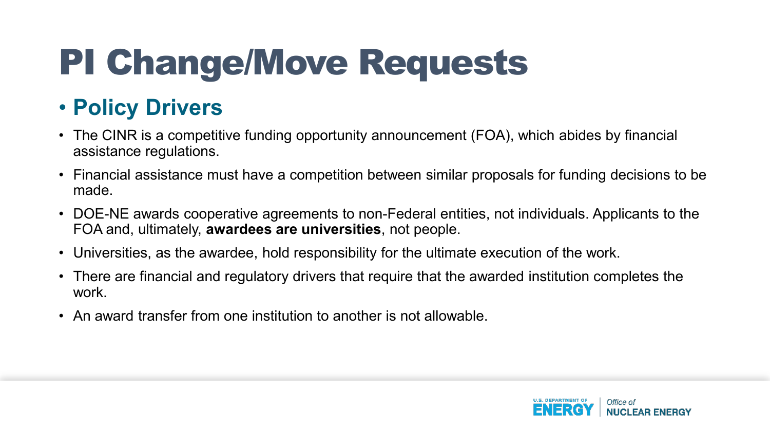### • **Policy Drivers**

- The CINR is a competitive funding opportunity announcement (FOA), which abides by financial assistance regulations.
- Financial assistance must have a competition between similar proposals for funding decisions to be made.
- DOE-NE awards cooperative agreements to non-Federal entities, not individuals. Applicants to the FOA and, ultimately, **awardees are universities**, not people.
- Universities, as the awardee, hold responsibility for the ultimate execution of the work.
- There are financial and regulatory drivers that require that the awarded institution completes the work.
- An award transfer from one institution to another is not allowable.

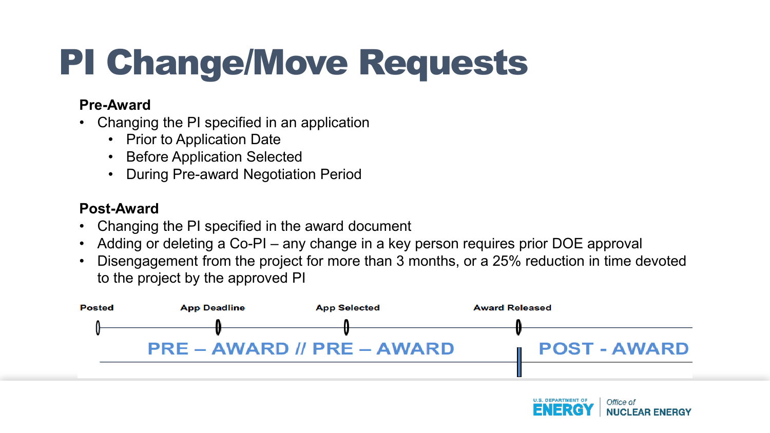#### **Pre-Award**

- Changing the PI specified in an application
	- Prior to Application Date
	- **Before Application Selected**
	- During Pre-award Negotiation Period

#### **Post-Award**

- Changing the PI specified in the award document
- Adding or deleting a Co-PI any change in a key person requires prior DOE approval
- Disengagement from the project for more than 3 months, or a 25% reduction in time devoted to the project by the approved PI



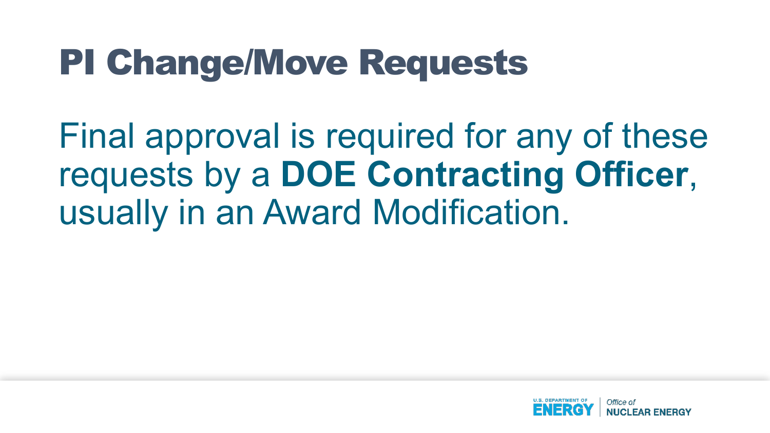Final approval is required for any of these requests by a **DOE Contracting Officer**, usually in an Award Modification.

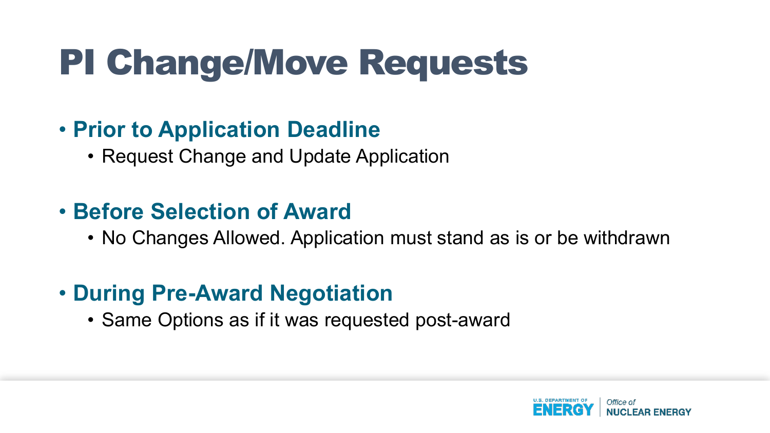#### • **Prior to Application Deadline**

• Request Change and Update Application

#### • **Before Selection of Award**

• No Changes Allowed. Application must stand as is or be withdrawn

### • **During Pre-Award Negotiation**

• Same Options as if it was requested post-award

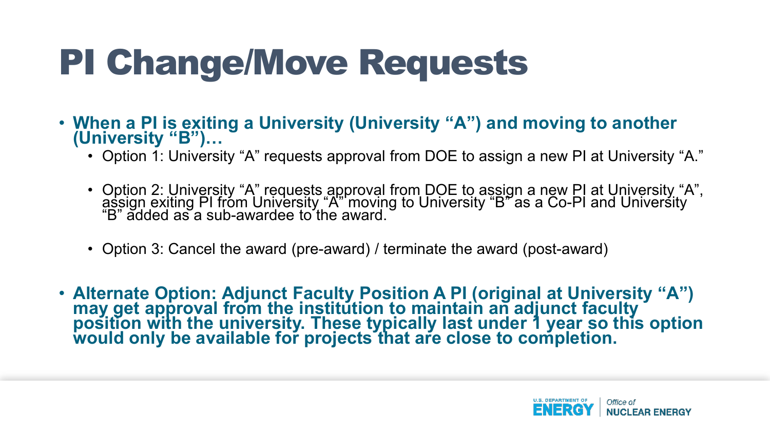- **When a PI is exiting a University (University "A") and moving to another (University "B")…**
	- Option 1: University "A" requests approval from DOE to assign a new PI at University "A."
	- Option 2: University "A" requests approval from DOE to assign a new PI at University "A", assign exiting PI from University "A" moving to University "B" as a Co-PI and University<br>"B" added as a sub-awardee to the award.
	- Option 3: Cancel the award (pre-award) / terminate the award (post-award)
- **Alternate Option: Adjunct Faculty Position A PI (original at University "A") may get approval from the institution to maintain an adjunct faculty position with the university. These typically last under 1 year so this option would only be available for projects that are close to completion.**

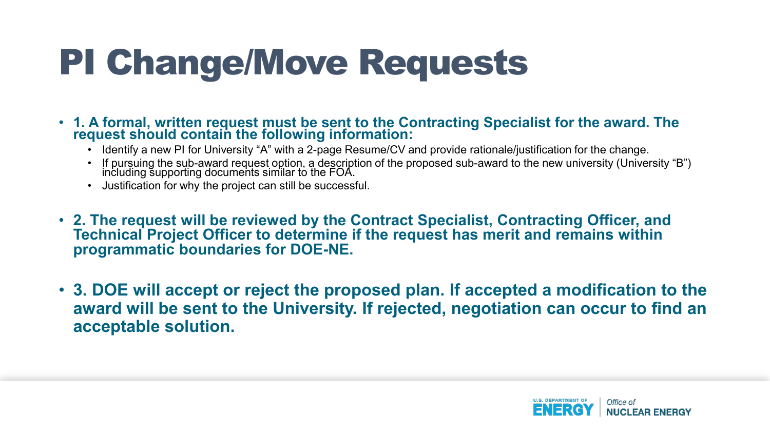- **1. A formal, written request must be sent to the Contracting Specialist for the award. The request should contain the following information:**
	- Identify a new PI for University "A" with a 2-page Resume/CV and provide rationale/justification for the change.
	- If pursuing the sub-award request option, a description of the proposed sub-award to the new university (University "B")<br>including supporting documents similar to the FOA.
	- Justification for why the project can still be successful.
- **2. The request will be reviewed by the Contract Specialist, Contracting Officer, and Technical Project Officer to determine if the request has merit and remains within programmatic boundaries for DOE-NE.**
- **3. DOE will accept or reject the proposed plan. If accepted a modification to the award will be sent to the University. If rejected, negotiation can occur to find an acceptable solution.**

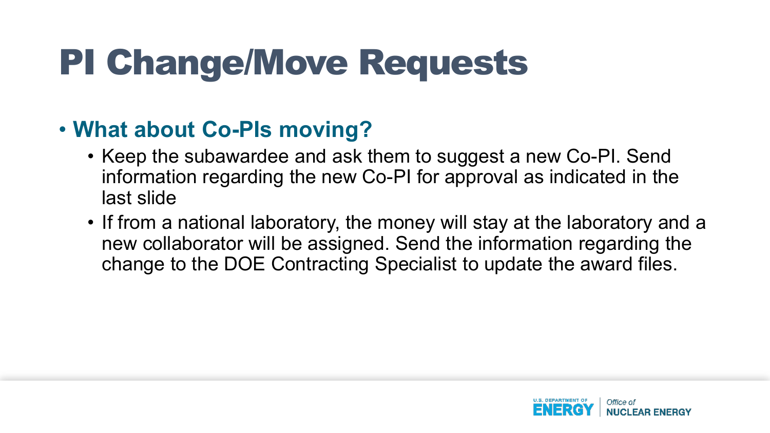### • **What about Co-PIs moving?**

- Keep the subawardee and ask them to suggest a new Co-PI. Send information regarding the new Co-PI for approval as indicated in the last slide
- If from a national laboratory, the money will stay at the laboratory and a new collaborator will be assigned. Send the information regarding the change to the DOE Contracting Specialist to update the award files.

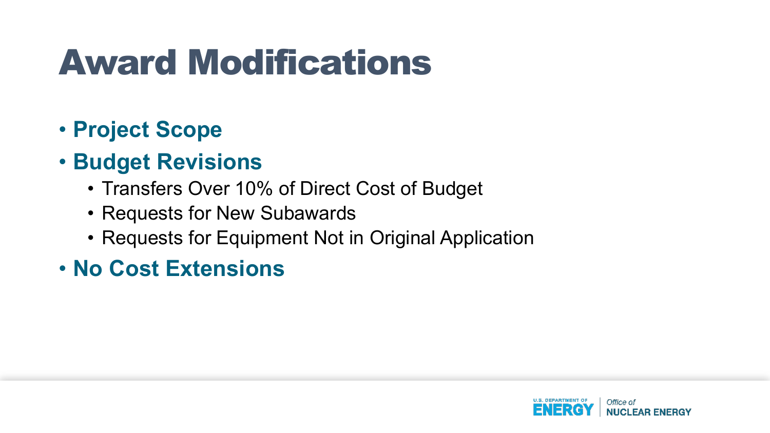## Award Modifications

- **Project Scope**
- **Budget Revisions**
	- Transfers Over 10% of Direct Cost of Budget
	- Requests for New Subawards
	- Requests for Equipment Not in Original Application
- **No Cost Extensions**

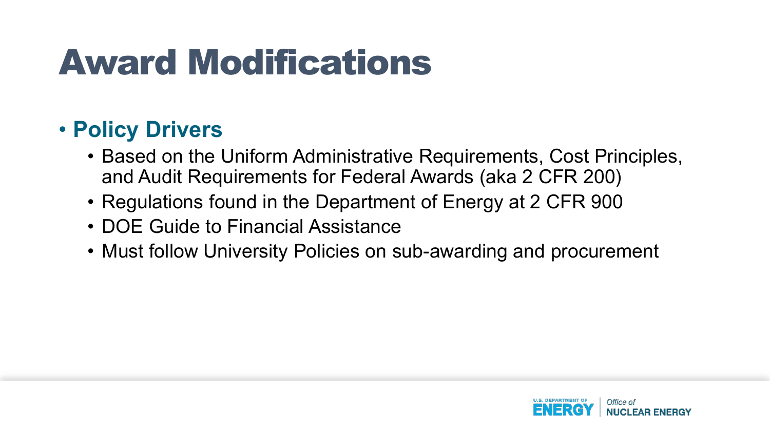## Award Modifications

### • **Policy Drivers**

- Based on the Uniform Administrative Requirements, Cost Principles, and Audit Requirements for Federal Awards (aka 2 CFR 200)
- Regulations found in the Department of Energy at 2 CFR 900
- DOE Guide to Financial Assistance
- Must follow University Policies on sub-awarding and procurement

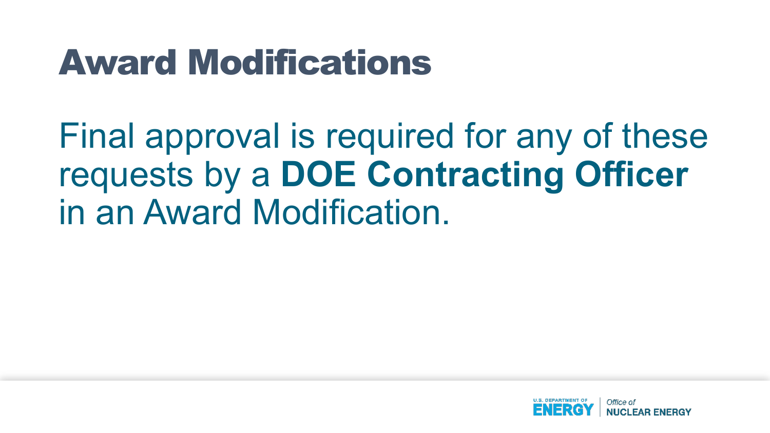### Award Modifications

Final approval is required for any of these requests by a **DOE Contracting Officer** in an Award Modification.

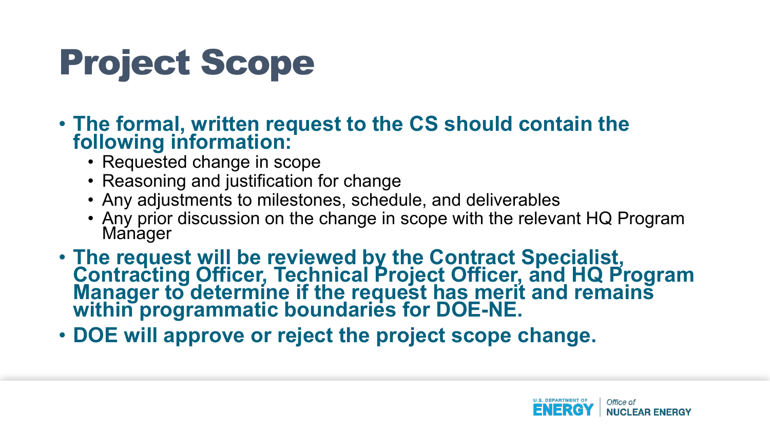## Project Scope

- **The formal, written request to the CS should contain the following information:**
	- Requested change in scope
	- Reasoning and justification for change
	- Any adjustments to milestones, schedule, and deliverables
	- Any prior discussion on the change in scope with the relevant HQ Program Manager
- **The request will be reviewed by the Contract Specialist, Contracting Officer, Technical Project Officer, and HQ Program Manager to determine if the request has merit and remains within programmatic boundaries for DOE-NE.**
- **DOE will approve or reject the project scope change.**

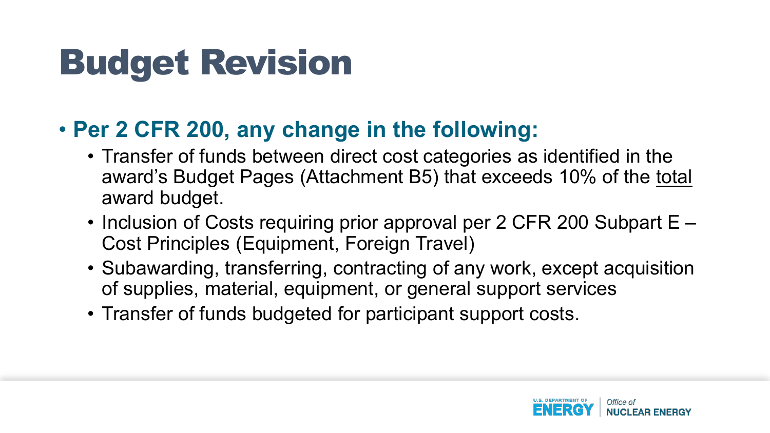#### • **Per 2 CFR 200, any change in the following:**

- Transfer of funds between direct cost categories as identified in the award's Budget Pages (Attachment B5) that exceeds 10% of the total award budget.
- Inclusion of Costs requiring prior approval per 2 CFR 200 Subpart E Cost Principles (Equipment, Foreign Travel)
- Subawarding, transferring, contracting of any work, except acquisition of supplies, material, equipment, or general support services
- Transfer of funds budgeted for participant support costs.

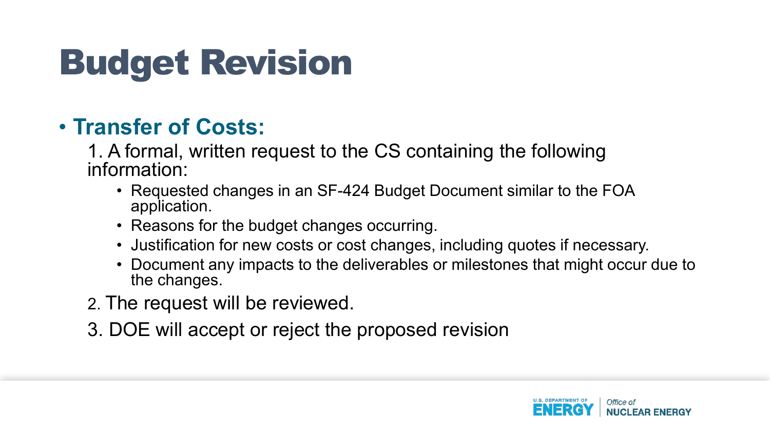#### • **Transfer of Costs:**

1. A formal, written request to the CS containing the following information:

- Requested changes in an SF-424 Budget Document similar to the FOA application.
- Reasons for the budget changes occurring.
- Justification for new costs or cost changes, including quotes if necessary.
- Document any impacts to the deliverables or milestones that might occur due to the changes.
- 2. The request will be reviewed.
- 3. DOE will accept or reject the proposed revision

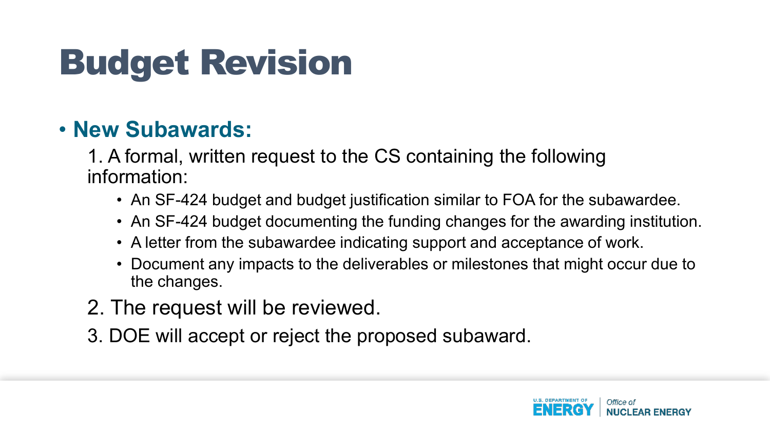#### • **New Subawards:**

1. A formal, written request to the CS containing the following information:

- An SF-424 budget and budget justification similar to FOA for the subawardee.
- An SF-424 budget documenting the funding changes for the awarding institution.
- A letter from the subawardee indicating support and acceptance of work.
- Document any impacts to the deliverables or milestones that might occur due to the changes.
- 2. The request will be reviewed.
- 3. DOE will accept or reject the proposed subaward.

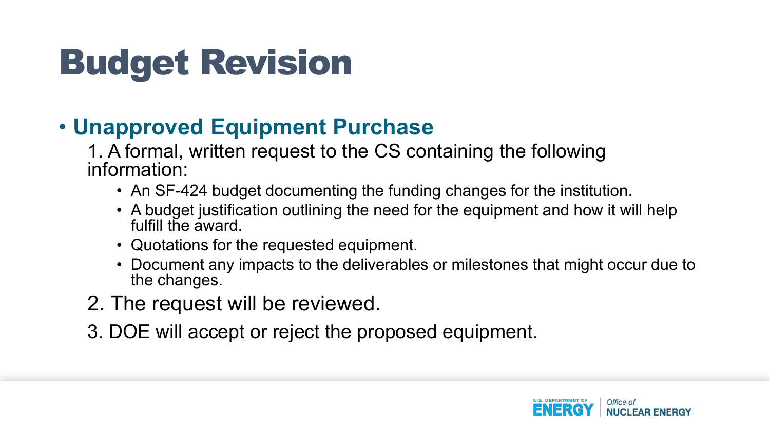### • **Unapproved Equipment Purchase**

1. A formal, written request to the CS containing the following information:

- An SF-424 budget documenting the funding changes for the institution.
- A budget justification outlining the need for the equipment and how it will help fulfill the award.
- Quotations for the requested equipment.
- Document any impacts to the deliverables or milestones that might occur due to the changes.
- 2. The request will be reviewed.
- 3. DOE will accept or reject the proposed equipment.

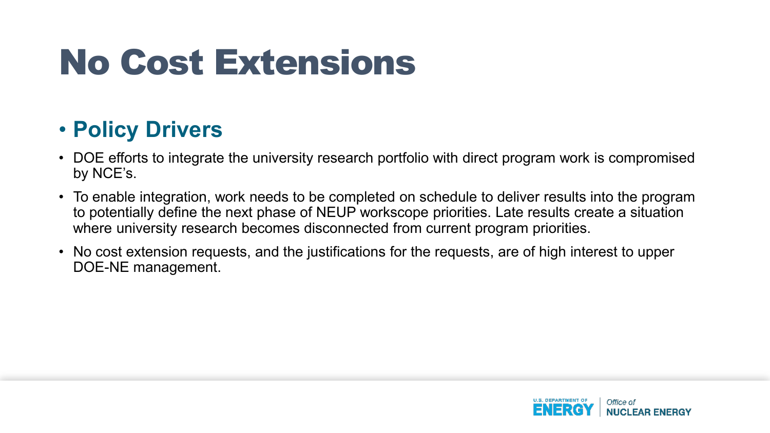## No Cost Extensions

### • **Policy Drivers**

- DOE efforts to integrate the university research portfolio with direct program work is compromised by NCE's.
- To enable integration, work needs to be completed on schedule to deliver results into the program to potentially define the next phase of NEUP workscope priorities. Late results create a situation where university research becomes disconnected from current program priorities.
- No cost extension requests, and the justifications for the requests, are of high interest to upper DOE-NE management.

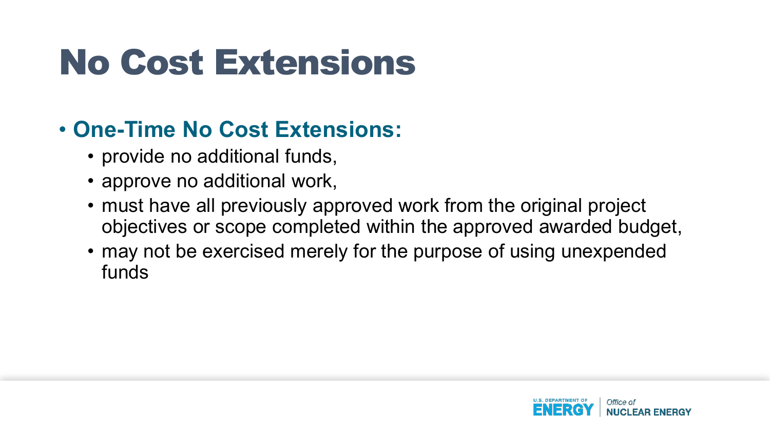## No Cost Extensions

### • **One-Time No Cost Extensions:**

- provide no additional funds,
- approve no additional work,
- must have all previously approved work from the original project objectives or scope completed within the approved awarded budget,
- may not be exercised merely for the purpose of using unexpended funds

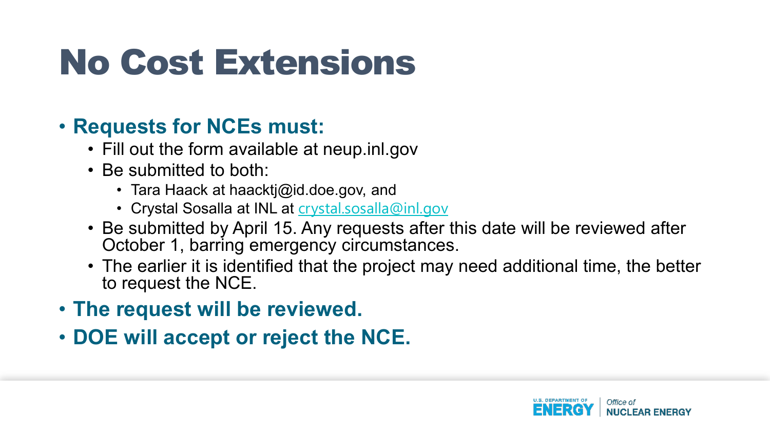## No Cost Extensions

#### • **Requests for NCEs must:**

- Fill out the form available at neup.inl.gov
- Be submitted to both:
	- Tara Haack at haacktj@id.doe.gov, and
	- Crystal Sosalla at INL at [crystal.sosalla@inl.gov](mailto:crystal.sosalla@inl.gov)
- Be submitted by April 15. Any requests after this date will be reviewed after October 1, barring emergency circumstances.
- The earlier it is identified that the project may need additional time, the better to request the NCE.
- **The request will be reviewed.**
- **DOE will accept or reject the NCE.**

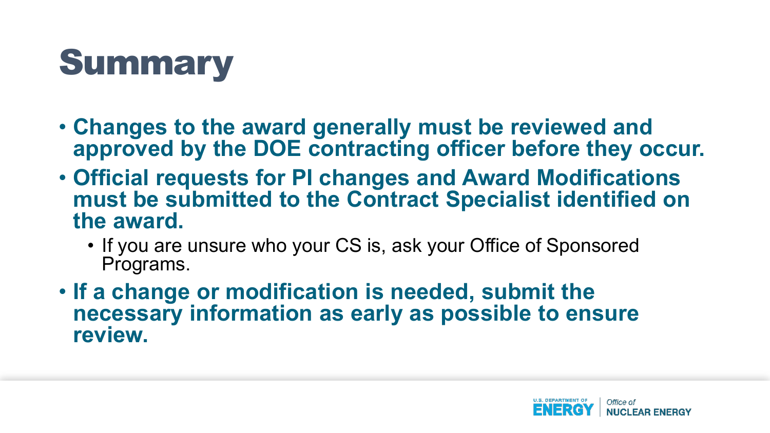

- **Changes to the award generally must be reviewed and approved by the DOE contracting officer before they occur.**
- **Official requests for PI changes and Award Modifications must be submitted to the Contract Specialist identified on the award.** 
	- If you are unsure who your CS is, ask your Office of Sponsored Programs.
- **If a change or modification is needed, submit the necessary information as early as possible to ensure review.**

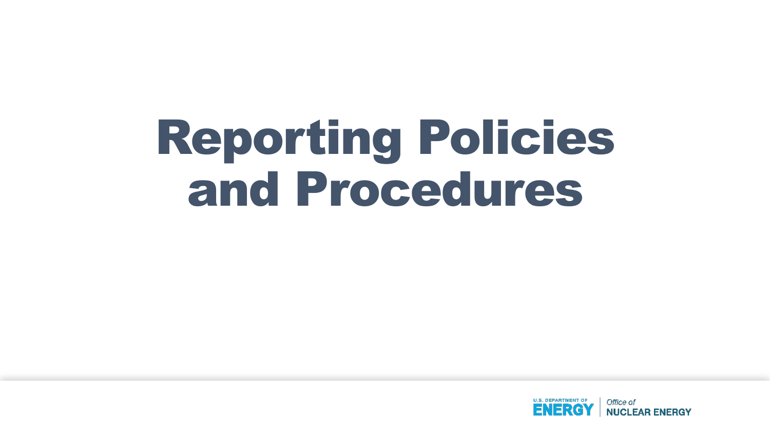# Reporting Policies and Procedures

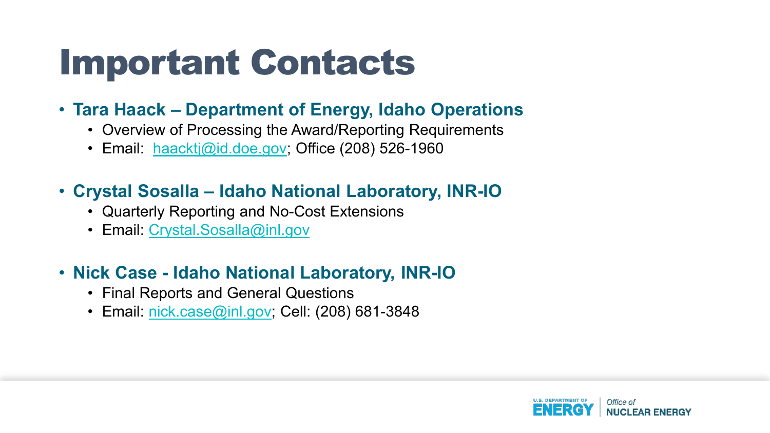### Important Contacts

#### • **Tara Haack – Department of Energy, Idaho Operations**

- Overview of Processing the Award/Reporting Requirements
- Email: [haacktj@id.doe.gov;](mailto:haacktj@id.doe.gov) Office (208) 526-1960

#### • **Crystal Sosalla – Idaho National Laboratory, INR-IO**

- Quarterly Reporting and No-Cost Extensions
- Email: [Crystal.Sosalla@inl.gov](mailto:Crystal.Sosalla@inl.gov)

#### • **Nick Case - Idaho National Laboratory, INR-IO**

- Final Reports and General Questions
- Email: [nick.case@inl.gov;](mailto:dyarnick.case@inl.gov) Cell: (208) 681-3848

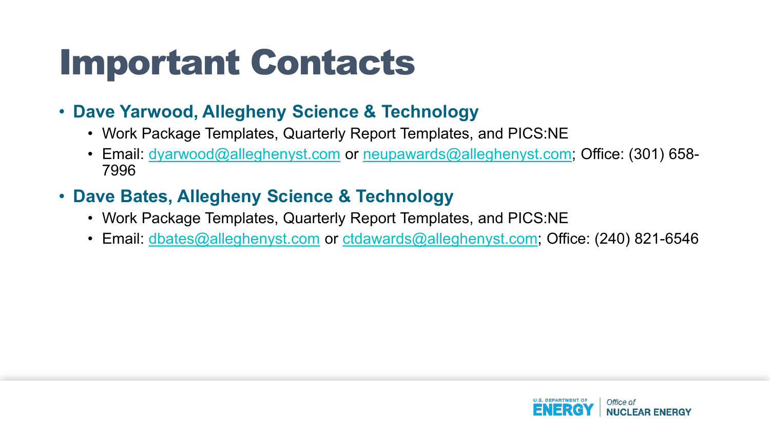### Important Contacts

#### • **Dave Yarwood, Allegheny Science & Technology**

- Work Package Templates, Quarterly Report Templates, and PICS:NE
- Email: [dyarwood@alleghenyst.com](mailto:dyarwood@alleghenyst.com) or [neupawards@alleghenyst.com;](mailto:neupawards@alleghenyst.com) Office: (301) 658-7996
- **Dave Bates, Allegheny Science & Technology**
	- Work Package Templates, Quarterly Report Templates, and PICS:NE
	- Email: [dbates@alleghenyst.com](mailto:dbates@alleghenyst.com) or [ctdawards@alleghenyst.com](mailto:ctdawards@alleghenyst.com); Office: (240) 821-6546

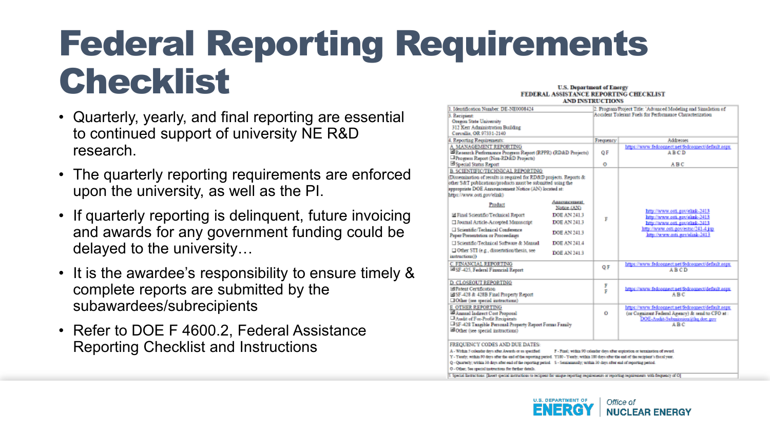### Federal Reporting Requirements Checklist U.S. Department of Energy

- Quarterly, yearly, and final reporting are essential to continued support of university NE R&D research.
- The quarterly reporting requirements are enforced upon the university, as well as the PI.
- If quarterly reporting is delinquent, future invoicing and awards for any government funding could be delayed to the university…
- It is the awardee's responsibility to ensure timely & complete reports are submitted by the subawardees/subrecipients
- Refer to DOE F 4600.2, Federal Assistance Reporting Checklist and Instructions

#### FEDERAL ASSISTANCE REPORTING CHECKLIST

|                                                                                                                                                                                                                                                                                                                                                                                                                                                                                                                                                                                                   | AND ENSTRUCTIONS |                                                                |                                                                                                                                                         |  |  |  |
|---------------------------------------------------------------------------------------------------------------------------------------------------------------------------------------------------------------------------------------------------------------------------------------------------------------------------------------------------------------------------------------------------------------------------------------------------------------------------------------------------------------------------------------------------------------------------------------------------|------------------|----------------------------------------------------------------|---------------------------------------------------------------------------------------------------------------------------------------------------------|--|--|--|
| 1. Identification Number: DE-NE0008424                                                                                                                                                                                                                                                                                                                                                                                                                                                                                                                                                            |                  | 2. Program Project Title: 'Advanced Modeling and Simulation of |                                                                                                                                                         |  |  |  |
| 3. Recipient:<br><b>Oregon State University</b><br>312 Kerr Administration Building<br>Corvallis, OR 97331-2140                                                                                                                                                                                                                                                                                                                                                                                                                                                                                   |                  |                                                                | Accident Tolerant Fuels for Performance Characterization                                                                                                |  |  |  |
| 4. Reporting Requirements:                                                                                                                                                                                                                                                                                                                                                                                                                                                                                                                                                                        |                  | Frequency                                                      | Addresses                                                                                                                                               |  |  |  |
| A. MANAGEMENT REPORTING<br>El Research Performance Progress Report (RPPR) (RD&D Projects)<br>Progress Report (Non-RD&D Projects)                                                                                                                                                                                                                                                                                                                                                                                                                                                                  |                  | ΟF                                                             | https://www.fedconnect.net/fedconnect/default.aspx<br>ABCD                                                                                              |  |  |  |
| El Special Status Report                                                                                                                                                                                                                                                                                                                                                                                                                                                                                                                                                                          |                  | o                                                              | ABC                                                                                                                                                     |  |  |  |
| B. SCIENTIFIC/TECHNICAL REPORTING<br>Distentiation of results is required for RD&D projects. Reports &<br>other S&T publications/products must be submitted using the<br>appropriate DOE Announcement Notice (AN) located at:<br>https://www.osti.gov/elink)                                                                                                                                                                                                                                                                                                                                      |                  |                                                                |                                                                                                                                                         |  |  |  |
| Аннониссиими<br>Product<br>Notice (AN)                                                                                                                                                                                                                                                                                                                                                                                                                                                                                                                                                            |                  |                                                                | http://www.osti.gov/elink-2413                                                                                                                          |  |  |  |
| DOE AN 241.3<br>El Final Scientific/Technical Report                                                                                                                                                                                                                                                                                                                                                                                                                                                                                                                                              |                  | F                                                              | http://www.coti.gov/slink-2413                                                                                                                          |  |  |  |
| □ Journal Article-Accepted Manascript<br>DOE AN 241.3                                                                                                                                                                                                                                                                                                                                                                                                                                                                                                                                             |                  |                                                                | http://www.osti.gov/elink.2413                                                                                                                          |  |  |  |
| Scientific Technical Conference<br>DOE AN 241.3<br>Paper/Presentation or Proceedings                                                                                                                                                                                                                                                                                                                                                                                                                                                                                                              |                  |                                                                | http://www.osti.gov/estsc/241-4.jsp<br>http://www.arti.gon/elink-2413                                                                                   |  |  |  |
| El Scientific/Technical Software & Manual<br>DOE AN 241.4                                                                                                                                                                                                                                                                                                                                                                                                                                                                                                                                         |                  |                                                                |                                                                                                                                                         |  |  |  |
| DOther STI (e.g., dissertation/thesis, see<br>DOE AN 241.3<br>instructions))                                                                                                                                                                                                                                                                                                                                                                                                                                                                                                                      |                  |                                                                |                                                                                                                                                         |  |  |  |
| C. FINANCIAL REPORTING<br>Ed SF-425, Federal Financial Report                                                                                                                                                                                                                                                                                                                                                                                                                                                                                                                                     |                  | ΟF                                                             | https://www.fedconnect.net/fedconnect/default.aspx<br><b>ABCD</b>                                                                                       |  |  |  |
| D. CLOSEOUT REPORTING<br>El Patent Certification<br>El SF-428 & 428B Final Property Report<br><b>DOther</b> (see special instructions)                                                                                                                                                                                                                                                                                                                                                                                                                                                            |                  | F<br>Þ                                                         | https://www.fedconnect.uet/fedconnect/default.aspx.<br><b>ABC</b>                                                                                       |  |  |  |
| <b>E. OTHER REPORTING</b><br>El Annual Indirect Cost Proposal<br>Audit of For-Profit Recipients<br><sup>1</sup> SF-428 Tangible Personal Property Report Forms Family<br>all Other (see special instructions)                                                                                                                                                                                                                                                                                                                                                                                     |                  | Ō                                                              | https://www.fedconnect.net/fedconnect/default.aspx<br>(or Cognizant Federal Agency) & send to CFO at :<br>DOE-Audit-Sebuission@hq.doe.gov<br><b>ABC</b> |  |  |  |
| FREQUENCY CODES AND DUE DATES:<br>A - Writin 5 coleadar days after Awards or as specified.<br>Y - Yendy, within 90 days ofter the end of the reporting period. Y150 - Yearly, within 150 days ofter the end of the recipient's fiscal year.<br>Q - Quarterly; within 30 days after each of the reporting period. S - Seminanually; within 30 days after end of reporting period.<br>O - Other; See special instructions for further details.<br>C Special Instructions: Theset special instructions to recipient for unlaws reporting requirements or reporting requirements with frequency of OI |                  |                                                                | F - Final; within 90 calendar days after expiration or terraination of award.                                                                           |  |  |  |

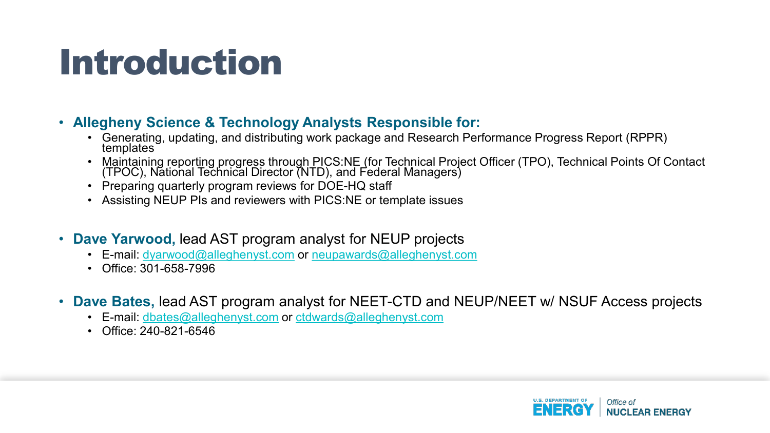### Introduction

#### • **Allegheny Science & Technology Analysts Responsible for:**

- Generating, updating, and distributing work package and Research Performance Progress Report (RPPR) templates
- Maintaining reporting progress through PICS:NE (for Technical Project Officer (TPO), Technical Points Of Contact (TPOC), National Technical Director (NTD), and Federal Managers)
- Preparing quarterly program reviews for DOE-HQ staff
- Assisting NEUP PIs and reviewers with PICS:NE or template issues
- **Dave Yarwood,** lead AST program analyst for NEUP projects
	- E-mail: [dyarwood@alleghenyst.com](mailto:dyarwood@alleghenyst.com) or [neupawards@alleghenyst.com](mailto:neupawards@alleghenyst.com)
	- Office: 301-658-7996
- **Dave Bates,** lead AST program analyst for NEET-CTD and NEUP/NEET w/ NSUF Access projects
	- E-mail: [dbates@alleghenyst.com](mailto:dyarwood@alleghenyst.com) or [ctdwards@alleghenyst.com](mailto:neupawards@alleghenyst.com)
	- Office: 240-821-6546

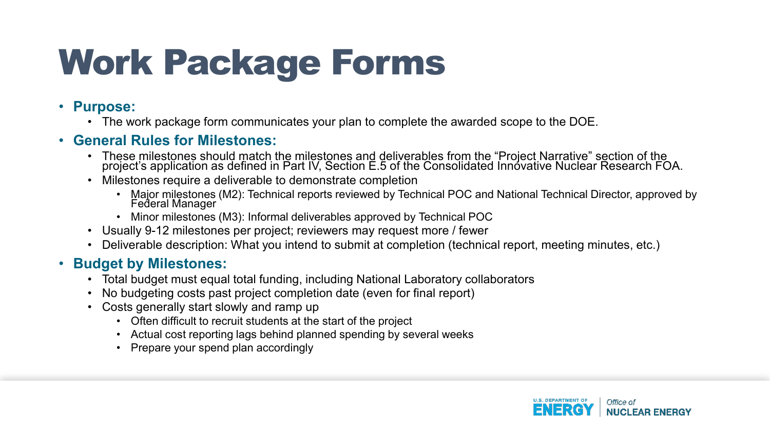## Work Package Forms

#### • **Purpose:**

• The work package form communicates your plan to complete the awarded scope to the DOE.

#### • **General Rules for Milestones:**

- These milestones should match the milestones and deliverables from the "Project Narrative" section of the project's application as defined in Part IV, Section E.5 of the Consolidated Innóvative Nuclear Research FOA.
- Milestones require a deliverable to demonstrate completion
	- Major milestones (M2): Technical reports reviewed by Technical POC and National Technical Director, approved by Federal Manager
	- Minor milestones (M3): Informal deliverables approved by Technical POC
- Usually 9-12 milestones per project; reviewers may request more / fewer
- Deliverable description: What you intend to submit at completion (technical report, meeting minutes, etc.)

#### • **Budget by Milestones:**

- Total budget must equal total funding, including National Laboratory collaborators
- No budgeting costs past project completion date (even for final report)
- Costs generally start slowly and ramp up
	- Often difficult to recruit students at the start of the project
	- Actual cost reporting lags behind planned spending by several weeks
	- Prepare your spend plan accordingly

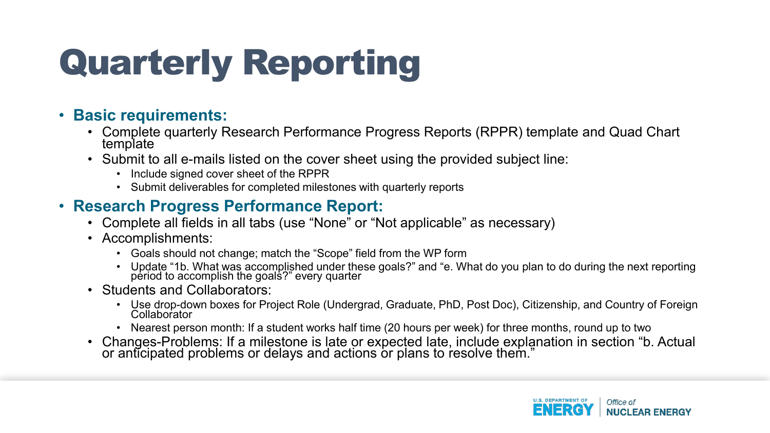#### • **Basic requirements:**

- Complete quarterly Research Performance Progress Reports (RPPR) template and Quad Chart template
- Submit to all e-mails listed on the cover sheet using the provided subject line:
	- Include signed cover sheet of the RPPR
	- Submit deliverables for completed milestones with quarterly reports

#### • **Research Progress Performance Report:**

- Complete all fields in all tabs (use "None" or "Not applicable" as necessary)
- Accomplishments:
	- Goals should not change; match the "Scope" field from the WP form
	- Update "1b. What was accomplished under these goals?" and "e. What do you plan to do during the next reporting period to accomplish the goals?" every quarter
- Students and Collaborators:
	- Use drop-down boxes for Project Role (Undergrad, Graduate, PhD, Post Doc), Citizenship, and Country of Foreign<br>Collaborator
	- Nearest person month: If a student works half time (20 hours per week) for three months, round up to two
- Changes-Problems: If a milestone is late or expected late, include explanation in section "b. Actual or anticipated problems or delays and actions or plans to resolve them."

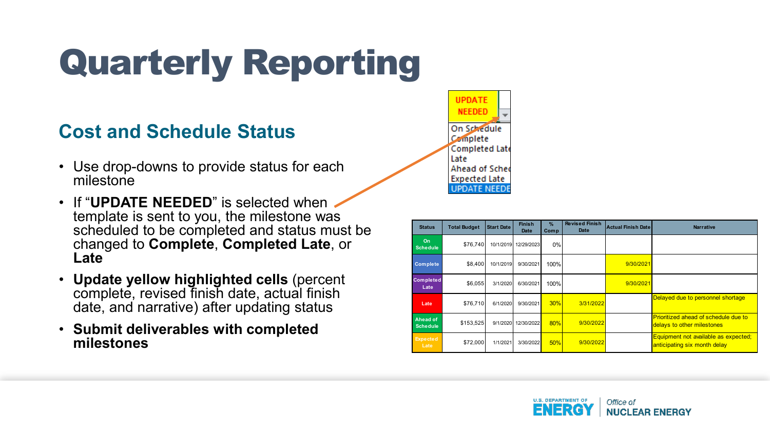#### **Cost and Schedule Status**

- Use drop-downs to provide status for each milestone
- If "**UPDATE NEEDED**" is selected when template is sent to you, the milestone was scheduled to be completed and status must be changed to **Complete**, **Completed Late**, or **Late**
- **Update yellow highlighted cells** (percent complete, revised finish date, actual finish date, and narrative) after updating status
- **Submit deliverables with completed milestones**

| <b>UPDATE</b><br><b>NEEDED</b> |  |
|--------------------------------|--|
| On Schedule                    |  |
| Complete                       |  |
| Completed Late                 |  |
| Late                           |  |
| Ahead of Sche                  |  |
| <b>Expected Late</b>           |  |
| E NEE                          |  |

| <b>Status</b>                | <b>Total Budget</b> | <b>Start Date</b> | <b>Finish</b><br>Date | $\%$<br>Comp | <b>Revised Finish</b><br>Date | <b>Actual Finish Date</b> | <b>Narrative</b>                                                          |
|------------------------------|---------------------|-------------------|-----------------------|--------------|-------------------------------|---------------------------|---------------------------------------------------------------------------|
| <b>On</b><br><b>Schedule</b> | \$76,740            |                   | 10/1/2019 12/29/2023  | 0%           |                               |                           |                                                                           |
| <b>Complete</b>              | \$8,400             | 10/1/2019         | 9/30/2021             | 100%         |                               | 9/30/2021                 |                                                                           |
| <b>Completed</b><br>Late     | \$6,055             | 3/1/2020          | 6/30/2021             | 100%         |                               | 9/30/2021                 |                                                                           |
| Late                         | \$76.710            | 6/1/2020          | 9/30/2021             | 30%          | 3/31/2022                     |                           | Delayed due to personnel shortage                                         |
| Ahead of<br><b>Schedule</b>  | \$153,525           | 9/1/2020          | 12/30/2022            | 80%          | 9/30/2022                     |                           | <b>Prioritized ahead of schedule due to</b><br>delays to other milestones |
| <b>Expected</b><br>Late      | \$72,000            | 1/1/2021          | 3/30/2022             | 50%          | 9/30/2022                     |                           | Equipment not available as expected;<br>anticipating six month delay      |

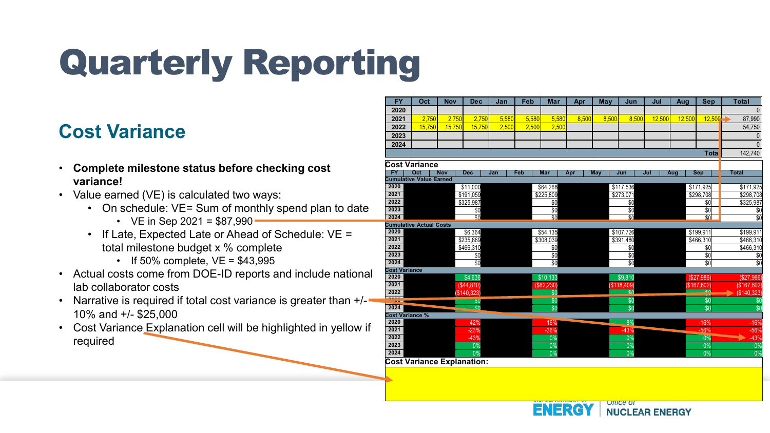#### **Cost Variance**

- **Complete milestone status before checking cost variance!**
- Value earned (VE) is calculated two ways:
	- On schedule: VE= Sum of monthly spend plan to date
		- VE in Sep 2021 =  $$87,990$
	- If Late, Expected Late or Ahead of Schedule: VE = total milestone budget x % complete
		- If  $50\%$  complete,  $VE = $43,995$
- Actual costs come from DOE-ID reports and include national lab collaborator costs
- Narrative is required if total cost variance is greater than  $+/-$ 10% and +/- \$25,000
- Cost Variance Explanation cell will be highlighted in yellow if required

| <b>FY</b>                              | Oct                       | <b>Nov</b> | <b>Dec</b>              | Jan   | Feb   | Mar               | Apr   | May   | Jun                           | Jul    | Aug    | <b>Sep</b>                 | <b>Total</b>                      |
|----------------------------------------|---------------------------|------------|-------------------------|-------|-------|-------------------|-------|-------|-------------------------------|--------|--------|----------------------------|-----------------------------------|
| 2020                                   |                           |            |                         |       |       |                   |       |       |                               |        |        |                            | $\mathbf{0}$                      |
| 2021                                   | 2.750                     | 2.750      | 2.750                   | 5.580 | 5.580 | 5.580             | 8.500 | 8.500 | 8.500                         | 12.500 | 12,500 | 12.500                     | 87,990                            |
| 2022                                   | 15,750                    | 15,750     | 15,750                  | 2,500 | 2,500 | 2,500             |       |       |                               |        |        |                            | 54,750                            |
| 2023                                   |                           |            |                         |       |       |                   |       |       |                               |        |        |                            | $\Omega$                          |
| 2024                                   |                           |            |                         |       |       |                   |       |       |                               |        |        |                            | $\Omega$                          |
|                                        |                           |            |                         |       |       |                   |       |       |                               |        |        | <b>Tota</b>                | 142,740                           |
| <b>Cost Variance</b>                   |                           |            |                         |       |       |                   |       |       |                               |        |        |                            |                                   |
| $\overline{FY}$                        | Oct                       | <b>Nov</b> | <b>Dec</b>              | Jan   | Feb   | <b>Mar</b>        | Apr   | May   | Jun                           | Jul    | Aug    | <b>Sep</b>                 | <b>Total</b>                      |
| <b>Cumulative Value Earned</b>         |                           |            |                         |       |       |                   |       |       |                               |        |        |                            |                                   |
| 2020                                   |                           |            | \$11,000                |       |       | \$64,268          |       |       | \$117,536                     |        |        | \$171,925                  | \$171,925                         |
| 2021                                   |                           |            | \$191,059               |       |       | \$225,809         |       |       | \$273,071                     |        |        | \$298,708                  | \$298,708                         |
| 2022                                   |                           |            | \$325,987               |       |       | $\overline{50}$   |       |       | \$0                           |        |        | \$0                        | \$325,987                         |
| 2023                                   |                           |            | \$0                     |       |       | \$0               |       |       | \$0                           |        |        | \$0                        | \$0                               |
| 2024<br><b>Cumulative Actual Costs</b> |                           |            | $\overline{30}$         |       |       | $\overline{30}$   |       |       | $\overline{30}$               |        |        | $\overline{30}$            | $\overline{\$0}$                  |
| 2020                                   |                           |            | \$6,364                 |       |       | \$54,135          |       |       | \$107,726                     |        |        | \$199.911                  | \$199,911                         |
| 2021                                   |                           |            | \$235,869               |       |       | \$308,039         |       |       | \$391,480                     |        |        | \$466,310                  | \$466,310                         |
| $\frac{2022}{ }$                       |                           |            | \$466,310               |       |       | \$0               |       |       | \$0                           |        |        | \$0                        | \$466,310                         |
| 2023                                   |                           |            | \$0                     |       |       | $\overline{50}$   |       |       | $\overline{50}$               |        |        | \$0                        | $\overline{50}$                   |
| 2024                                   |                           |            | \$0                     |       |       | $\overline{50}$   |       |       | $\overline{\$0}$              |        |        | \$0                        | $\overline{30}$                   |
| <b>Cost Variance</b>                   |                           |            |                         |       |       |                   |       |       |                               |        |        |                            |                                   |
| 2020<br>2021                           |                           |            | \$4,636                 |       |       | \$10,133          |       |       | \$9,810                       |        |        | (\$27,986)                 | (\$27,986)                        |
| 2022                                   |                           |            | (\$44,810)<br>\$140,323 |       |       | (\$82,230)<br>\$0 |       |       | (\$118,409)<br>C <sub>0</sub> |        |        | (\$167,602)<br>$\triangle$ | (\$167,602)                       |
| ----                                   |                           |            | \$0                     |       |       | \$0               |       |       | \$0                           |        |        | \$0                        | (\$140,323)<br>$\overline{$}$ \$0 |
| 2024                                   |                           |            | $\overline{\mathbf{S}}$ |       |       | \$0               |       |       | \$0                           |        |        | \$0                        | $\overline{\$0}$                  |
|                                        | <b>Cost Variance %</b>    |            |                         |       |       |                   |       |       |                               |        |        |                            |                                   |
| 2020                                   |                           |            | 42%                     |       |       | 16%               |       |       | 8%                            |        |        | $-16%$                     | $-16%$                            |
| 2021                                   |                           |            | $-23%$                  |       |       | $-36%$            |       |       | $-43%$                        |        |        | $-56%$                     | $-56%$                            |
| 2022                                   |                           |            | $-43%$                  |       |       | 0%                |       |       | 0%                            |        |        | 0%                         | $-43%$                            |
| 2023                                   |                           |            | 0%                      |       |       | 0%                |       |       | 0%                            |        |        | 0%                         | 0%                                |
| 2024                                   | Coot Varianos Evalonation |            | 0%                      |       |       | 0%                |       |       | 0%                            |        |        | 0%                         | 0%                                |

**Cost Variance Explanation:**

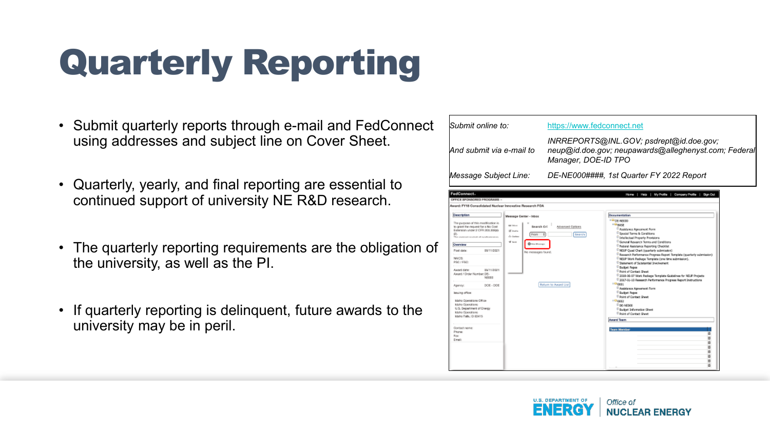- Submit quarterly reports through e-mail and FedConnect using addresses and subject line on Cover Sheet.
- Quarterly, yearly, and final reporting are essential to continued support of university NE R&D research.
- The quarterly reporting requirements are the obligation of the university, as well as the PI.
- If quarterly reporting is delinquent, future awards to the university may be in peril.

| Submit online to:                                                                                                                                                                                                                                                                                                                                                                                                                                                                                    |                                                                                                                                                                    |                                                                                             | https://www.fedconnect.net<br>INRREPORTS@INL.GOV; psdrept@id.doe.gov;<br>neup@id.doe.gov; neupawards@alleghenyst.com; Federal<br>Manager, DOE-ID TPO                                                                                                                                                                                                                                                                                                                                                                                                                                                                                                                                                                                                                                                                                                                                                                                                                                    |  |  |  |  |  |  |  |
|------------------------------------------------------------------------------------------------------------------------------------------------------------------------------------------------------------------------------------------------------------------------------------------------------------------------------------------------------------------------------------------------------------------------------------------------------------------------------------------------------|--------------------------------------------------------------------------------------------------------------------------------------------------------------------|---------------------------------------------------------------------------------------------|-----------------------------------------------------------------------------------------------------------------------------------------------------------------------------------------------------------------------------------------------------------------------------------------------------------------------------------------------------------------------------------------------------------------------------------------------------------------------------------------------------------------------------------------------------------------------------------------------------------------------------------------------------------------------------------------------------------------------------------------------------------------------------------------------------------------------------------------------------------------------------------------------------------------------------------------------------------------------------------------|--|--|--|--|--|--|--|
| lAnd submit via e-mail to                                                                                                                                                                                                                                                                                                                                                                                                                                                                            |                                                                                                                                                                    |                                                                                             |                                                                                                                                                                                                                                                                                                                                                                                                                                                                                                                                                                                                                                                                                                                                                                                                                                                                                                                                                                                         |  |  |  |  |  |  |  |
| Message Subject Line:                                                                                                                                                                                                                                                                                                                                                                                                                                                                                |                                                                                                                                                                    |                                                                                             | DE-NE000####, 1st Quarter FY 2022 Report                                                                                                                                                                                                                                                                                                                                                                                                                                                                                                                                                                                                                                                                                                                                                                                                                                                                                                                                                |  |  |  |  |  |  |  |
| FedConnect.<br>OFFICE SPONSORED PROGRAMS<br>Award: FY18 Consolidated Nuclear Innovative Research FOA                                                                                                                                                                                                                                                                                                                                                                                                 |                                                                                                                                                                    |                                                                                             | Home   Help   My Profile   Company Profile   Sign Out                                                                                                                                                                                                                                                                                                                                                                                                                                                                                                                                                                                                                                                                                                                                                                                                                                                                                                                                   |  |  |  |  |  |  |  |
| <b>Description</b><br>The purpose of this modification is<br>to grant the request for a No Cost<br>Extension under 2 CFR 208.30889<br>There provide and complicated and populations was not as a<br>Overview<br>Post date:<br>05/11/2021<br>NAICS:<br>PSC/FSC<br>09/11/2021<br>Award date:<br>Award / Order Number: DE-<br>NFODD<br>Apency:<br>DOE - DOE<br>lasuing office:<br>Idaho Goetations Office<br>Idaho Operations<br>U.S. Department of Energy<br>Idaha Qooratishs<br>Idaho Falls, ID 83415 | Message Center - Inbox<br><b>Air Introx</b><br><b>Search Cri</b><br>SE Dealton<br>Frant<br>As Outleas<br><b>Where</b><br><b>Chica Monage</b><br>No messages faund. | Advanced Cotions<br>Search<br>$\begin{array}{c} \hline \end{array}$<br>Return to Award List | <b>Documentation</b><br>$=$ $\Box$ $\Box$ $\in$ NEC00<br><b>FORME</b><br>Assistance Agreement Form<br><sup>El</sup> Saecial Terms & Conditions<br><sup>El</sup> Intellectual Property Provisions<br><sup>6</sup> General Research Terms and Conditions<br>Federal Assistance Reporting Checklot<br><sup>67</sup> NEUP Quad Chart (quarterly submission)<br>Research Performance Progress Report Template (quarterly submission)<br>NEUP Work Faskage Template (one time submission).<br>Statement of Substantial Involvement<br><b>Budowt Pages</b><br><sup>1</sup> Point of Cantact Sheet<br>2018-06-07 Work Package Template Guidelines for NEUP Projects<br>2017-01-10 Research Performance Progress Report Instructions<br><b>DOOL</b><br><sup>D</sup> Assistance Agreement Form<br><sup>D</sup> Budowt Pages<br><sup>D</sup> Foint of Cantact Sheet<br>-Google<br>D DE-MENOR<br><sup>D</sup> Redoct Information Sheet<br><sup>El</sup> Point of Cantact Sheet<br><b>Award Team</b> |  |  |  |  |  |  |  |
| Contact nemer<br>Phone:<br>Fox:<br>Erail:                                                                                                                                                                                                                                                                                                                                                                                                                                                            |                                                                                                                                                                    |                                                                                             | <b>Team Member</b>                                                                                                                                                                                                                                                                                                                                                                                                                                                                                                                                                                                                                                                                                                                                                                                                                                                                                                                                                                      |  |  |  |  |  |  |  |

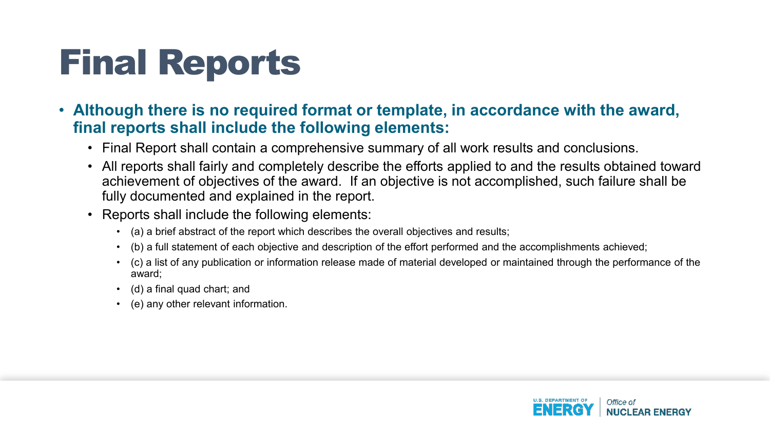## Final Reports

- **Although there is no required format or template, in accordance with the award, final reports shall include the following elements:**
	- Final Report shall contain a comprehensive summary of all work results and conclusions.
	- All reports shall fairly and completely describe the efforts applied to and the results obtained toward achievement of objectives of the award. If an objective is not accomplished, such failure shall be fully documented and explained in the report.
	- Reports shall include the following elements:
		- (a) a brief abstract of the report which describes the overall objectives and results;
		- (b) a full statement of each objective and description of the effort performed and the accomplishments achieved;
		- (c) a list of any publication or information release made of material developed or maintained through the performance of the award;
		- (d) a final quad chart; and
		- (e) any other relevant information.